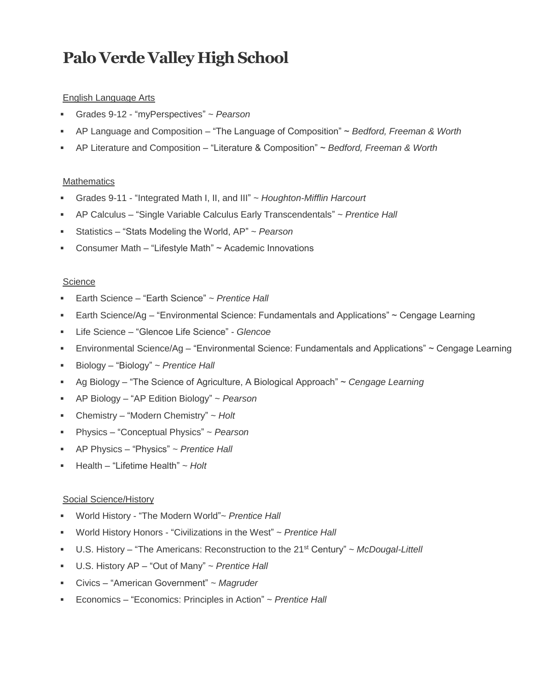# **Palo Verde Valley High School**

## English Language Arts

- Grades 9-12 "myPerspectives" ~ *Pearson*
- AP Language and Composition "The Language of Composition" ~ *Bedford, Freeman & Worth*
- AP Literature and Composition "Literature & Composition" ~ *Bedford, Freeman & Worth*

## **Mathematics**

- Grades 9-11 "Integrated Math I, II, and III" ~ *Houghton-Mifflin Harcourt*
- AP Calculus "Single Variable Calculus Early Transcendentals" ~ *Prentice Hall*
- Statistics "Stats Modeling the World, AP" ~ *Pearson*
- Consumer Math "Lifestyle Math" ~ Academic Innovations

## **Science**

- Earth Science "Earth Science" ~ *Prentice Hall*
- Earth Science/Ag "Environmental Science: Fundamentals and Applications" ~ Cengage Learning
- Life Science *–* "Glencoe Life Science" *Glencoe*
- Environmental Science/Ag "Environmental Science: Fundamentals and Applications" ~ Cengage Learning
- Biology *–* "Biology" ~ *Prentice Hall*
- Ag Biology "The Science of Agriculture, A Biological Approach" ~ *Cengage Learning*
- AP Biology "AP Edition Biology" ~ *Pearson*
- Chemistry "Modern Chemistry" ~ *Holt*
- Physics "Conceptual Physics" ~ *Pearson*
- AP Physics "Physics" ~ *Prentice Hall*
- Health "Lifetime Health" ~ *Holt*

## Social Science/History

- World History "The Modern World"~ *Prentice Hall*
- World History Honors "Civilizations in the West" ~ *Prentice Hall*
- U.S. History "The Americans: Reconstruction to the 21<sup>st</sup> Century" ~ *McDougal-Littell*
- U.S. History AP "Out of Many" ~ *Prentice Hall*
- Civics "American Government" ~ *Magruder*
- Economics "Economics: Principles in Action" ~ *Prentice Hall*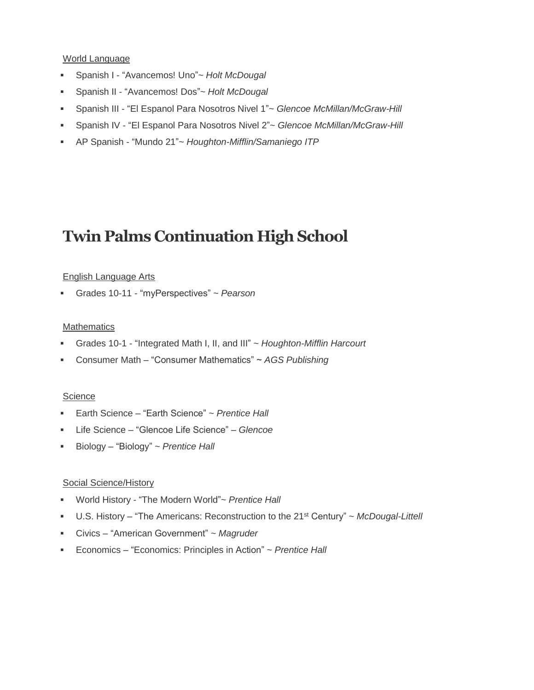#### World Language

- Spanish I "Avancemos! Uno"~ *Holt McDougal*
- Spanish II "Avancemos! Dos"~ *Holt McDougal*
- Spanish III "El Espanol Para Nosotros Nivel 1"~ *Glencoe McMillan/McGraw-Hill*
- Spanish IV "El Espanol Para Nosotros Nivel 2"~ *Glencoe McMillan/McGraw-Hill*
- AP Spanish "Mundo 21"~ *Houghton-Mifflin/Samaniego ITP*

## **Twin Palms Continuation High School**

#### English Language Arts

Grades 10-11 - "myPerspectives" ~ *Pearson*

#### **Mathematics**

- Grades 10-1 "Integrated Math I, II, and III" ~ *Houghton-Mifflin Harcourt*
- Consumer Math "Consumer Mathematics" ~ *AGS Publishing*

#### **Science**

- Earth Science "Earth Science" ~ *Prentice Hall*
- Life Science *–* "Glencoe Life Science" *Glencoe*
- Biology *–* "Biology" ~ *Prentice Hall*

#### Social Science/History

- World History "The Modern World"~ *Prentice Hall*
- U.S. History *–* "The Americans: Reconstruction to the 21st Century" ~ *McDougal-Littell*
- Civics "American Government" ~ *Magruder*
- Economics "Economics: Principles in Action" ~ *Prentice Hall*